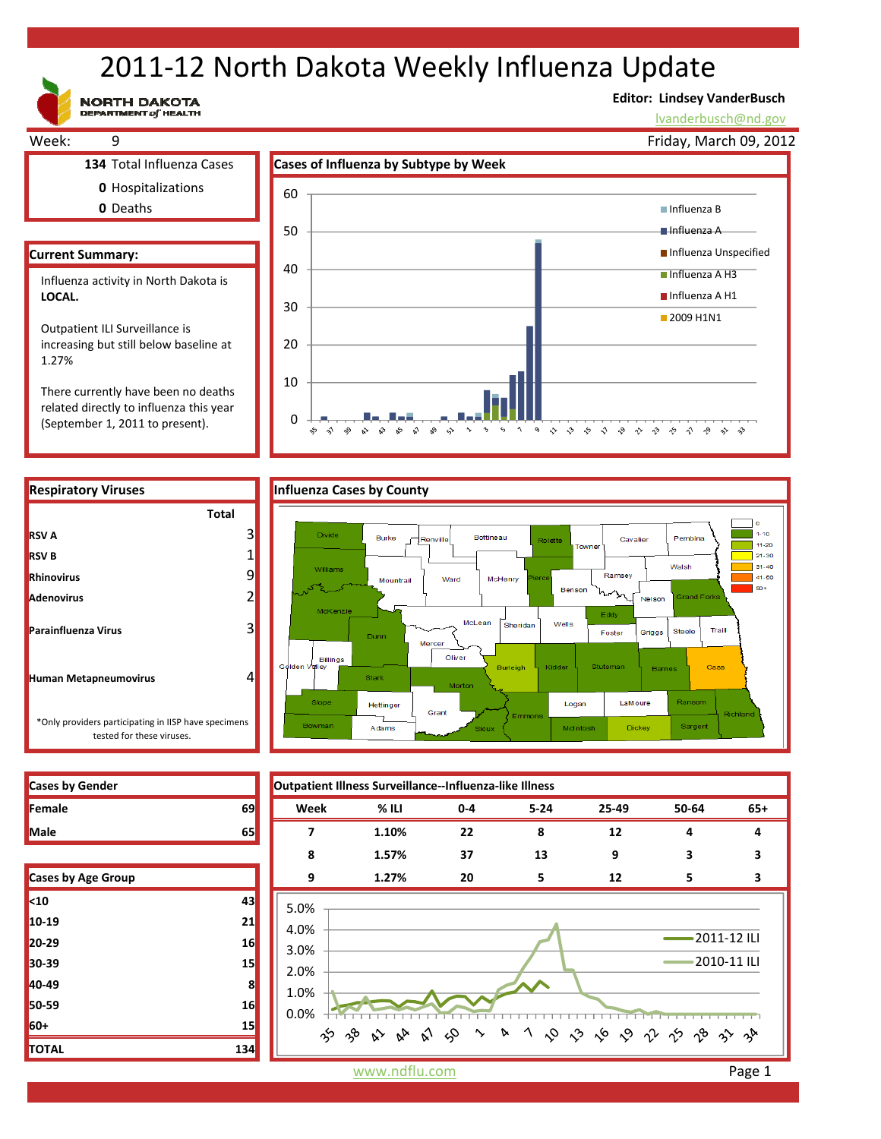# 2011‐12 North Dakota Weekly Influenza Update

**NORTH DAKOTA**<br>DEPARTMENT of HEALTH

#### **Editor: Lindsey VanderBusch**

lvanderbusch@nd.gov



 $8^{\circ}$   $\rightsquigarrow$ 

 $\rightarrow$ 

 $\sim$ 

5 1 9 D D D D D D D D D D D D

There currently have been no deaths related directly to influenza this year (September 1, 2011 to present).

 $\Omega$ 

 $\sim$  $\hat{\mathbf{v}}$   $\sim$  $\mathcal{S}$ చం చ

చి

**RSV A**

**RSV B Rhinovirus Adenovirus**

**Parainfluenza Virus**



| <b>Cases by Gender</b> |    |
|------------------------|----|
| Female                 | 69 |
| <b>Male</b>            |    |

| Cases by Age Group |     |
|--------------------|-----|
| $10$               | 43  |
| 10-19              | 21  |
| 20-29              | 16  |
| 30-39              | 15  |
| 40-49              | 8   |
| 50-59              | 16  |
| 60+                | 15  |
| <b>TOTAL</b>       | 134 |



www.ndflu.com **Page 1**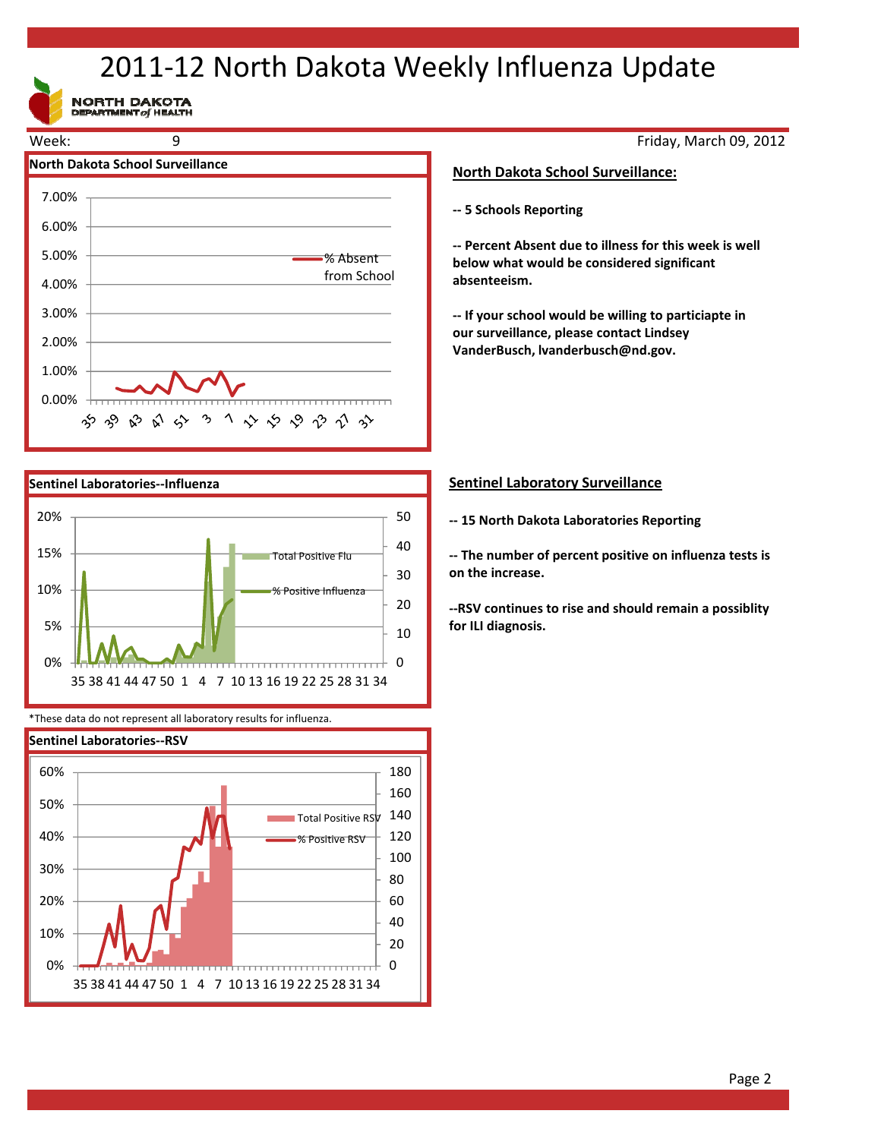# 2011‐12 North Dakota Weekly Influenza Update

NORTH DAKOTA





\*These data do not represent all laboratory results for influenza.



Friday, March 09, 2012

#### **North Dakota School Surveillance:**

**‐‐ 5 Schools Reporting**

**‐‐ Percent Absent due to illness for this week is well below what would be considered significant absenteeism.**

**‐‐ If your school would be willing to particiapte in our surveillance, please contact Lindsey VanderBusch, lvanderbusch@nd.gov.**

### **Sentinel Laboratory Surveillance**

**‐‐ 15 North Dakota Laboratories Reporting**

**‐‐ The number of percent positive on influenza tests is on the increase.**

**‐‐RSV continues to rise and should remain a possiblity for ILI diagnosis.**